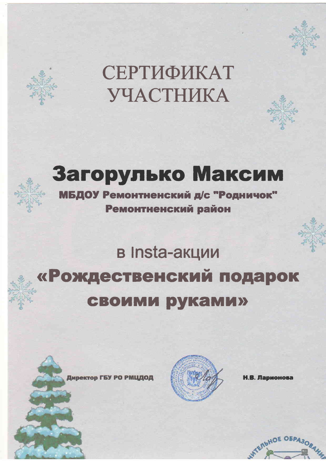



# Загорулько Максим

МБДОУ Ремонтненский д/с "Родничок" Ремонтненский район

#### в Insta-акции «Рождественский подарок **СВОИМИ руками»**

Директор ГБУ РО РМЦДОД



. Ларионова

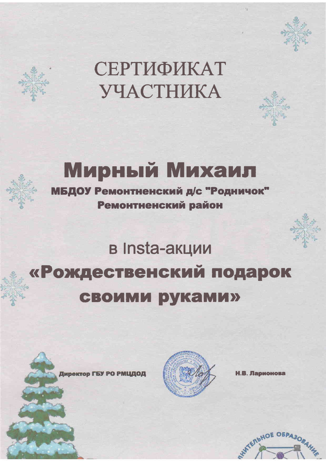





МБДОУ Ремонтненский д/с "Родничок" Ремонтненский район

#### в Insta-акции «Рождественский подарок **СВОИМИ РУКАМИ»**





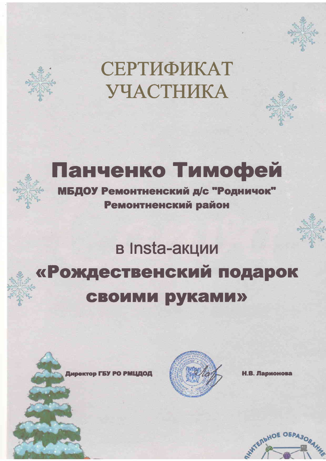



# Панченко Тимофей

МБДОУ Ремонтненский д/с "Родничок" Ремонтненский район

#### в Insta-акции «Рождественский подарок **СВОИМИ руками»**





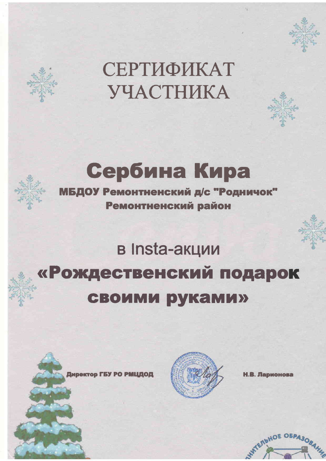





Ремонтненский район

## в Insta-акции «Рождественский подарок **СВОИМИ руками»**





. Ларионова

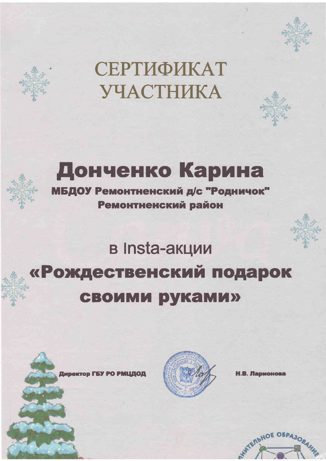





# Донченко Карина

МБДОУ Ремонтненский д/с "Родничок" Ремонтненский район

#### в Insta-акции «Рождественский подарок **СВОИМИ руками»**





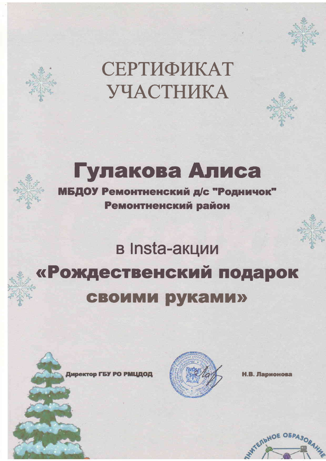





МБДОУ Ремонтненский д/с "Родничок" Ремонтненский район

#### в Insta-акции «Рождественский подарок **СВОИМИ руками»**



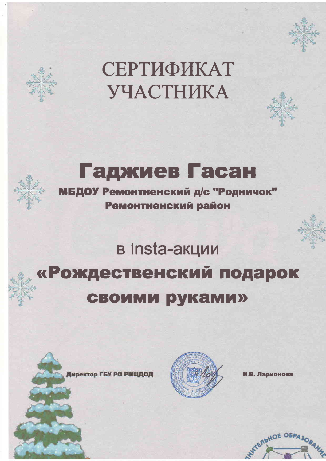





МБДОУ Ремонтненский д/с "Родничок" Ремонтненский район

#### в Insta-акции «Рождественский подарок **СВОИМИ руками»**





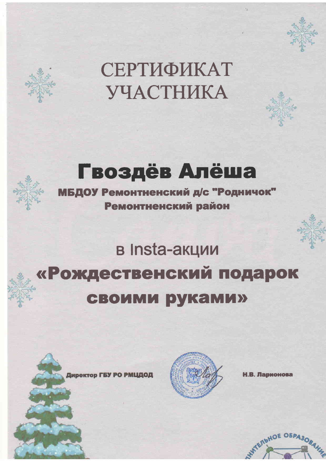

#### Гвоздёв Алёша

МБДОУ Ремонтненский д/с "Родничок" Ремонтненский район

#### в Insta-акции «Рождественский подарок **СВОИМИ РУКАМИ»**